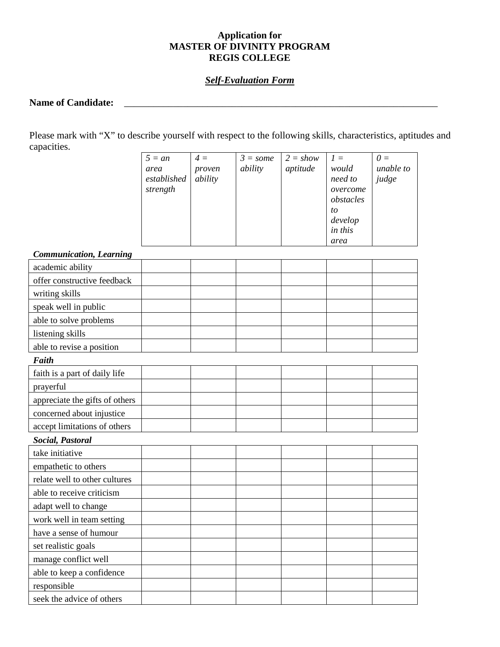# **Application for MASTER OF DIVINITY PROGRAM REGIS COLLEGE**

# *Self-Evaluation Form*

#### **Name of Candidate:** \_\_\_\_\_\_\_\_\_\_\_\_\_\_\_\_\_\_\_\_\_\_\_\_\_\_\_\_\_\_\_\_\_\_\_\_\_\_\_\_\_\_\_\_\_\_\_\_\_\_\_\_\_\_\_\_\_\_\_\_\_\_\_\_

Please mark with "X" to describe yourself with respect to the following skills, characteristics, aptitudes and capacities.

| $5 = an$    | $4 =$   | $3 = some$ | $2 = show$ | $l =$     | $\theta =$ |
|-------------|---------|------------|------------|-----------|------------|
| area        | proven  | ability    | aptitude   | would     | unable to  |
| established | ability |            |            | need to   | judge      |
| strength    |         |            |            | overcome  |            |
|             |         |            |            | obstacles |            |
|             |         |            |            | to        |            |
|             |         |            |            | develop   |            |
|             |         |            |            | in this   |            |
|             |         |            |            | area      |            |

#### *Communication, Learning*

| Communication, Learning        |  |  |  |  |  |  |  |  |
|--------------------------------|--|--|--|--|--|--|--|--|
| academic ability               |  |  |  |  |  |  |  |  |
| offer constructive feedback    |  |  |  |  |  |  |  |  |
| writing skills                 |  |  |  |  |  |  |  |  |
| speak well in public           |  |  |  |  |  |  |  |  |
| able to solve problems         |  |  |  |  |  |  |  |  |
| listening skills               |  |  |  |  |  |  |  |  |
| able to revise a position      |  |  |  |  |  |  |  |  |
| Faith                          |  |  |  |  |  |  |  |  |
| faith is a part of daily life  |  |  |  |  |  |  |  |  |
| prayerful                      |  |  |  |  |  |  |  |  |
| appreciate the gifts of others |  |  |  |  |  |  |  |  |
| concerned about injustice      |  |  |  |  |  |  |  |  |
| accept limitations of others   |  |  |  |  |  |  |  |  |
| Social, Pastoral               |  |  |  |  |  |  |  |  |
| take initiative                |  |  |  |  |  |  |  |  |
| empathetic to others           |  |  |  |  |  |  |  |  |
| relate well to other cultures  |  |  |  |  |  |  |  |  |
| able to receive criticism      |  |  |  |  |  |  |  |  |
| adapt well to change           |  |  |  |  |  |  |  |  |
| work well in team setting      |  |  |  |  |  |  |  |  |
| have a sense of humour         |  |  |  |  |  |  |  |  |
| set realistic goals            |  |  |  |  |  |  |  |  |
| manage conflict well           |  |  |  |  |  |  |  |  |
| able to keep a confidence      |  |  |  |  |  |  |  |  |
| responsible                    |  |  |  |  |  |  |  |  |
| seek the advice of others      |  |  |  |  |  |  |  |  |